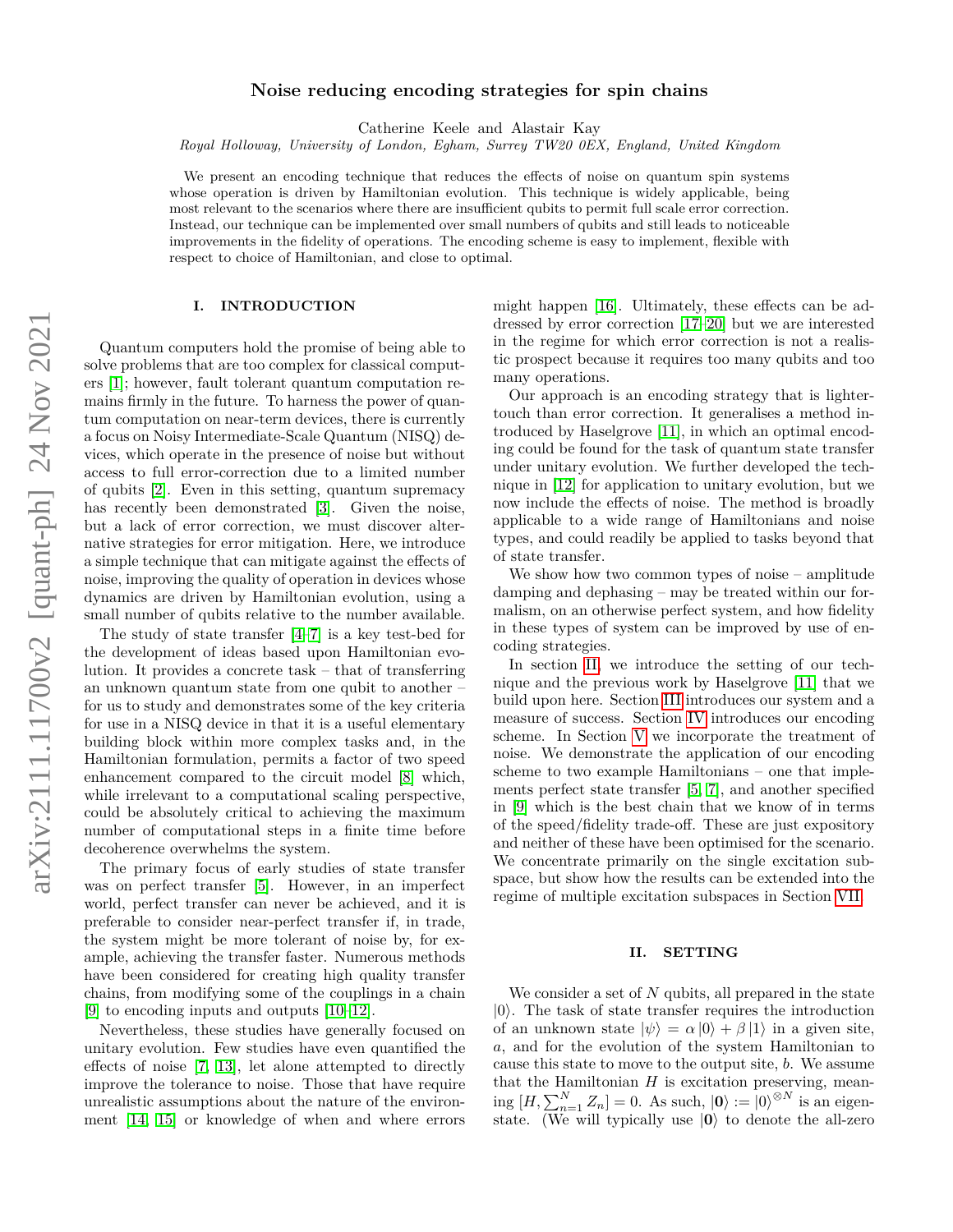# **Noise reducing encoding strategies for spin chains**

Catherine Keele and Alastair Kay

*Royal Holloway, University of London, Egham, Surrey TW20 0EX, England, United Kingdom*

We present an encoding technique that reduces the effects of noise on quantum spin systems whose operation is driven by Hamiltonian evolution. This technique is widely applicable, being most relevant to the scenarios where there are insufficient qubits to permit full scale error correction. Instead, our technique can be implemented over small numbers of qubits and still leads to noticeable improvements in the fidelity of operations. The encoding scheme is easy to implement, flexible with respect to choice of Hamiltonian, and close to optimal.

### **I. INTRODUCTION**

Quantum computers hold the promise of being able to solve problems that are too complex for classical computers [\[1\]](#page-8-0); however, fault tolerant quantum computation remains firmly in the future. To harness the power of quantum computation on near-term devices, there is currently a focus on Noisy Intermediate-Scale Quantum (NISQ) devices, which operate in the presence of noise but without access to full error-correction due to a limited number of qubits [\[2\]](#page-8-1). Even in this setting, quantum supremacy has recently been demonstrated [\[3\]](#page-8-2). Given the noise, but a lack of error correction, we must discover alternative strategies for error mitigation. Here, we introduce a simple technique that can mitigate against the effects of noise, improving the quality of operation in devices whose dynamics are driven by Hamiltonian evolution, using a small number of qubits relative to the number available.

The study of state transfer [\[4](#page-8-3)[–7\]](#page-8-4) is a key test-bed for the development of ideas based upon Hamiltonian evolution. It provides a concrete task – that of transferring an unknown quantum state from one qubit to another – for us to study and demonstrates some of the key criteria for use in a NISQ device in that it is a useful elementary building block within more complex tasks and, in the Hamiltonian formulation, permits a factor of two speed enhancement compared to the circuit model [\[8\]](#page-8-5) which, while irrelevant to a computational scaling perspective, could be absolutely critical to achieving the maximum number of computational steps in a finite time before decoherence overwhelms the system.

The primary focus of early studies of state transfer was on perfect transfer [\[5\]](#page-8-6). However, in an imperfect world, perfect transfer can never be achieved, and it is preferable to consider near-perfect transfer if, in trade, the system might be more tolerant of noise by, for example, achieving the transfer faster. Numerous methods have been considered for creating high quality transfer chains, from modifying some of the couplings in a chain [\[9\]](#page-8-7) to encoding inputs and outputs [\[10–](#page-8-8)[12\]](#page-8-9).

Nevertheless, these studies have generally focused on unitary evolution. Few studies have even quantified the effects of noise [\[7,](#page-8-4) [13\]](#page-8-10), let alone attempted to directly improve the tolerance to noise. Those that have require unrealistic assumptions about the nature of the environment [\[14,](#page-8-11) [15\]](#page-8-12) or knowledge of when and where errors might happen [\[16\]](#page-8-13). Ultimately, these effects can be addressed by error correction [\[17](#page-8-14)[–20\]](#page-8-15) but we are interested in the regime for which error correction is not a realistic prospect because it requires too many qubits and too many operations.

Our approach is an encoding strategy that is lightertouch than error correction. It generalises a method introduced by Haselgrove [\[11\]](#page-8-16), in which an optimal encoding could be found for the task of quantum state transfer under unitary evolution. We further developed the technique in [\[12\]](#page-8-9) for application to unitary evolution, but we now include the effects of noise. The method is broadly applicable to a wide range of Hamiltonians and noise types, and could readily be applied to tasks beyond that of state transfer.

We show how two common types of noise – amplitude damping and dephasing – may be treated within our formalism, on an otherwise perfect system, and how fidelity in these types of system can be improved by use of encoding strategies.

In section [II,](#page-0-0) we introduce the setting of our technique and the previous work by Haselgrove [\[11\]](#page-8-16) that we build upon here. Section [III](#page-1-0) introduces our system and a measure of success. Section [IV](#page-2-0) introduces our encoding scheme. In Section [V](#page-3-0) we incorporate the treatment of noise. We demonstrate the application of our encoding scheme to two example Hamiltonians – one that implements perfect state transfer [\[5,](#page-8-6) [7\]](#page-8-4), and another specified in [\[9\]](#page-8-7) which is the best chain that we know of in terms of the speed/fidelity trade-off. These are just expository and neither of these have been optimised for the scenario. We concentrate primarily on the single excitation subspace, but show how the results can be extended into the regime of multiple excitation subspaces in Section [VII.](#page-6-0)

### <span id="page-0-0"></span>**II. SETTING**

We consider a set of *N* qubits, all prepared in the state  $|0\rangle$ . The task of state transfer requires the introduction of an unknown state  $|\psi\rangle = \alpha |0\rangle + \beta |1\rangle$  in a given site, *a*, and for the evolution of the system Hamiltonian to cause this state to move to the output site, *b*. We assume that the Hamiltonian  $H$  is excitation preserving, mean- $\lim_{n \to \infty} [H, \sum_{n=1}^{N} Z_n] = 0.$  As such,  $|\mathbf{0}\rangle := |0\rangle^{\otimes N}$  is an eigenstate. (We will typically use  $|0\rangle$  to denote the all-zero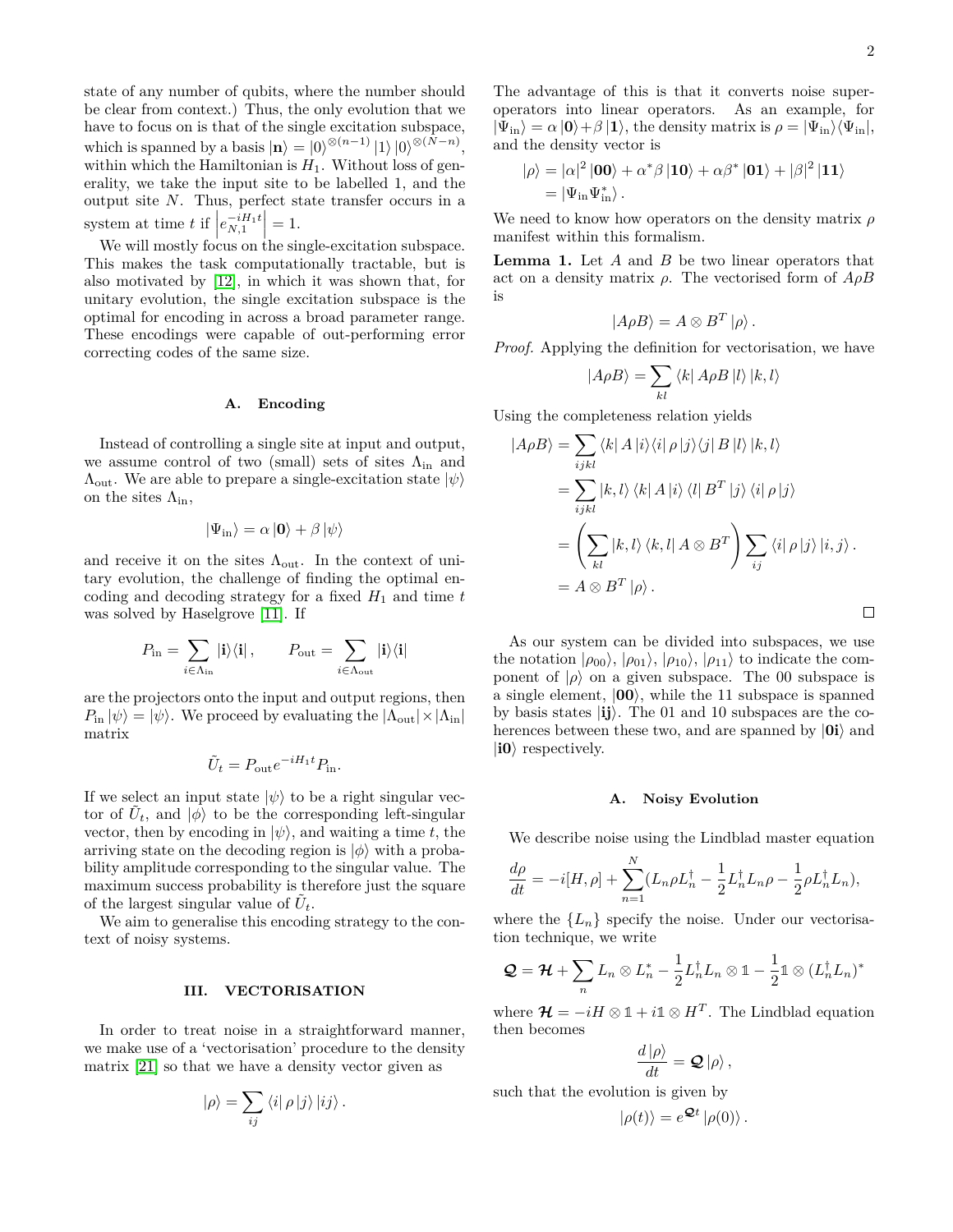state of any number of qubits, where the number should be clear from context.) Thus, the only evolution that we have to focus on is that of the single excitation subspace, which is spanned by a basis  $|\mathbf{n}\rangle = |0\rangle^{\otimes (n-1)} |1\rangle |0\rangle^{\otimes (N-n)}$ , within which the Hamiltonian is  $H_1$ . Without loss of generality, we take the input site to be labelled 1, and the output site *N*. Thus, perfect state transfer occurs in a system at time *t* if  $\left| e_{N,1}^{-iH_1t} \right|$  $= 1.$ 

We will mostly focus on the single-excitation subspace. This makes the task computationally tractable, but is also motivated by [\[12\]](#page-8-9), in which it was shown that, for unitary evolution, the single excitation subspace is the optimal for encoding in across a broad parameter range. These encodings were capable of out-performing error correcting codes of the same size.

#### **A. Encoding**

Instead of controlling a single site at input and output, we assume control of two (small) sets of sites  $\Lambda_{\text{in}}$  and  $\Lambda_{\text{out}}$ . We are able to prepare a single-excitation state  $|\psi\rangle$ on the sites  $\Lambda_{\rm in}$ ,

$$
|\Psi_{\rm in}\rangle = \alpha \,|\mathbf{0}\rangle + \beta \,|\psi\rangle
$$

and receive it on the sites  $\Lambda_{\text{out}}$ . In the context of unitary evolution, the challenge of finding the optimal encoding and decoding strategy for a fixed  $H_1$  and time  $t$ was solved by Haselgrove [\[11\]](#page-8-16). If

$$
P_{\text{in}} = \sum_{i \in \Lambda_{\text{in}}} | \mathbf{i} \rangle \langle \mathbf{i} | \,, \qquad P_{\text{out}} = \sum_{i \in \Lambda_{\text{out}}} | \mathbf{i} \rangle \langle \mathbf{i} |
$$

are the projectors onto the input and output regions, then  $P_{\text{in}} |\psi\rangle = |\psi\rangle$ . We proceed by evaluating the  $|\Lambda_{\text{out}}| \times |\Lambda_{\text{in}}|$ matrix

$$
\tilde{U}_t = P_{\text{out}} e^{-iH_1 t} P_{\text{in}}.
$$

If we select an input state  $|\psi\rangle$  to be a right singular vector of  $\tilde{U}_t$ , and  $|\phi\rangle$  to be the corresponding left-singular vector, then by encoding in  $|\psi\rangle$ , and waiting a time *t*, the arriving state on the decoding region is  $|\phi\rangle$  with a probability amplitude corresponding to the singular value. The maximum success probability is therefore just the square of the largest singular value of  $\tilde{U}_t$ .

We aim to generalise this encoding strategy to the context of noisy systems.

### <span id="page-1-0"></span>**III. VECTORISATION**

In order to treat noise in a straightforward manner, we make use of a 'vectorisation' procedure to the density matrix [\[21\]](#page-8-17) so that we have a density vector given as

$$
|\rho\rangle = \sum_{ij} \langle i | \rho | j \rangle | i j \rangle.
$$

The advantage of this is that it converts noise superoperators into linear operators. As an example, for  $|\Psi_{\text{in}}\rangle = \alpha |\mathbf{0}\rangle + \beta |\mathbf{1}\rangle$ , the density matrix is  $\rho = |\Psi_{\text{in}}\rangle \langle \Psi_{\text{in}}|$ , and the density vector is

$$
\begin{aligned} |\rho\rangle &= |\alpha|^2 \left|00\right\rangle + \alpha^* \beta \left|10\right\rangle + \alpha \beta^* \left|01\right\rangle + |\beta|^2 \left|11\right\rangle \\ &= |\Psi_{\rm in} \Psi_{\rm in}^* \rangle \, . \end{aligned}
$$

We need to know how operators on the density matrix *ρ* manifest within this formalism.

<span id="page-1-1"></span>**Lemma 1.** Let *A* and *B* be two linear operators that act on a density matrix *ρ*. The vectorised form of *AρB* is

$$
|A\rho B\rangle = A \otimes B^T |\rho\rangle.
$$

*Proof.* Applying the definition for vectorisation, we have

$$
|A\rho B\rangle = \sum_{kl} \langle k|A\rho B|l\rangle |k,l\rangle
$$

Using the completeness relation yields

$$
|A\rho B\rangle = \sum_{ijkl} \langle k| A |i \rangle \langle i| \rho |j \rangle \langle j| B |l \rangle |k, l \rangle
$$
  
= 
$$
\sum_{ijkl} |k, l \rangle \langle k| A |i \rangle \langle l| B^{T} |j \rangle \langle i| \rho |j \rangle
$$
  
= 
$$
\left( \sum_{kl} |k, l \rangle \langle k, l| A \otimes B^{T} \right) \sum_{ij} \langle i| \rho |j \rangle |i, j \rangle.
$$
  
= 
$$
A \otimes B^{T} | \rho \rangle.
$$

As our system can be divided into subspaces, we use the notation  $|\rho_{00}\rangle$ ,  $|\rho_{01}\rangle$ ,  $|\rho_{10}\rangle$ ,  $|\rho_{11}\rangle$  to indicate the component of  $|\rho\rangle$  on a given subspace. The 00 subspace is a single element,  $|00\rangle$ , while the 11 subspace is spanned by basis states |**ij**i. The 01 and 10 subspaces are the coherences between these two, and are spanned by  $|\mathbf{0i}\rangle$  and  $|i0\rangle$  respectively.

#### **A. Noisy Evolution**

We describe noise using the Lindblad master equation

$$
\frac{d\rho}{dt} = -i[H, \rho] + \sum_{n=1}^{N} (L_n \rho L_n^{\dagger} - \frac{1}{2} L_n^{\dagger} L_n \rho - \frac{1}{2} \rho L_n^{\dagger} L_n),
$$

where the  ${L_n}$  specify the noise. Under our vectorisation technique, we write

$$
\mathcal{Q} = \mathcal{H} + \sum_{n} L_n \otimes L_n^* - \frac{1}{2} L_n^{\dagger} L_n \otimes \mathbb{1} - \frac{1}{2} \mathbb{1} \otimes (L_n^{\dagger} L_n)^*
$$

where  $\mathcal{H} = -iH \otimes \mathbb{1} + i\mathbb{1} \otimes H^T$ . The Lindblad equation then becomes

$$
\frac{d\left\vert \rho\right\rangle }{dt}=\mathbf{Q}\left\vert \rho\right\rangle ,
$$

such that the evolution is given by

$$
|\rho(t)\rangle = e^{\mathbf{Q}t} |\rho(0)\rangle.
$$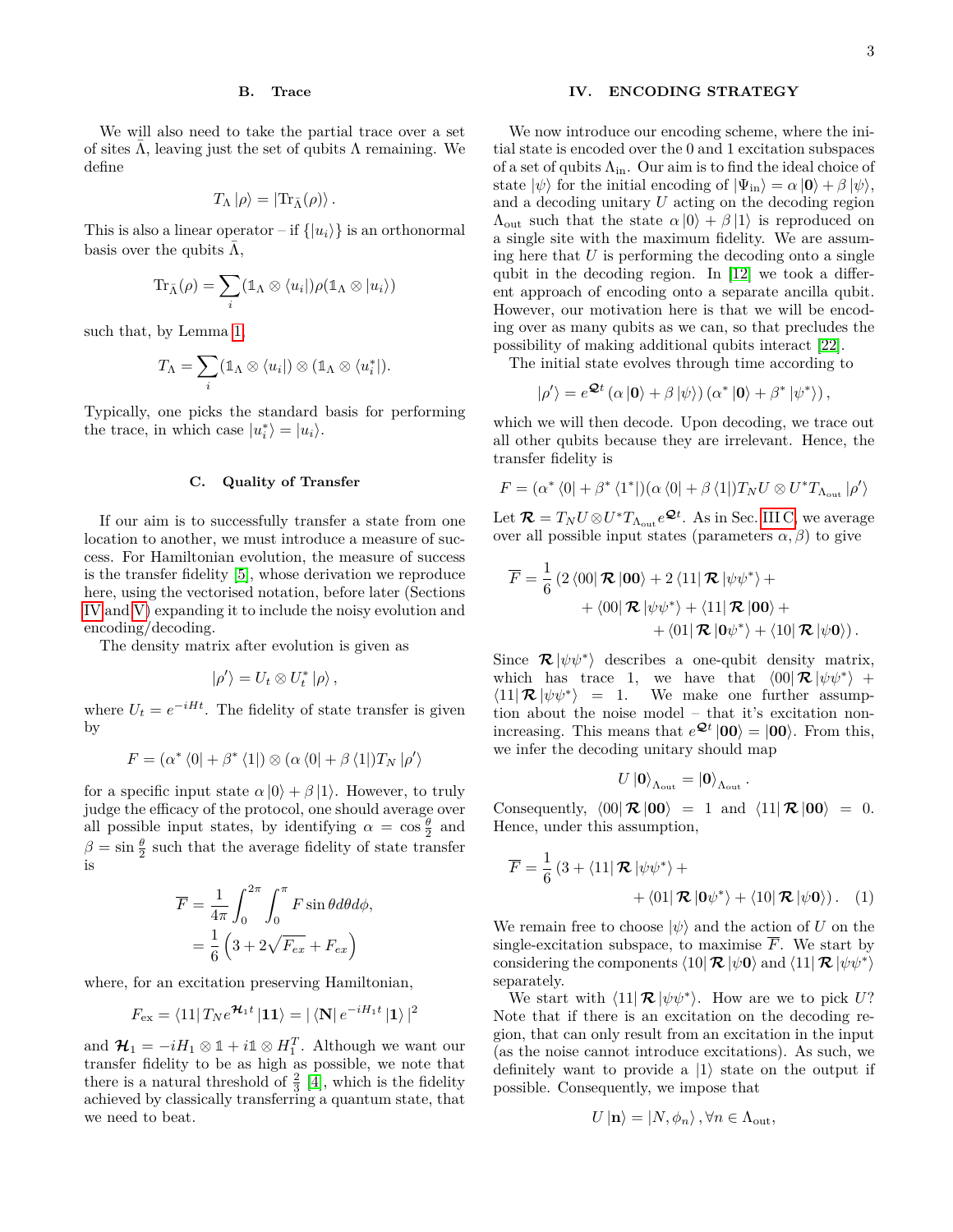#### **B. Trace**

We will also need to take the partial trace over a set of sites  $\Lambda$ , leaving just the set of qubits  $\Lambda$  remaining. We define

$$
T_{\Lambda}|\rho\rangle = |\text{Tr}_{\bar{\Lambda}}(\rho)\rangle.
$$

This is also a linear operator – if  $\{|u_i\rangle\}$  is an orthonormal basis over the qubits  $\Lambda$ ,

$$
\mathrm{Tr}_{\bar{\Lambda}}(\rho)=\sum_i (\mathbb{1}_{\Lambda}\otimes \langle u_i|)\rho(\mathbb{1}_{\Lambda}\otimes |u_i\rangle)
$$

such that, by Lemma [1,](#page-1-1)

$$
T_{\Lambda} = \sum_{i} (\mathbb{1}_{\Lambda} \otimes \langle u_i |) \otimes (\mathbb{1}_{\Lambda} \otimes \langle u_i^* |).
$$

Typically, one picks the standard basis for performing the trace, in which case  $|u_i^*\rangle = |u_i\rangle$ .

### <span id="page-2-1"></span>**C. Quality of Transfer**

If our aim is to successfully transfer a state from one location to another, we must introduce a measure of success. For Hamiltonian evolution, the measure of success is the transfer fidelity [\[5\]](#page-8-6), whose derivation we reproduce here, using the vectorised notation, before later (Sections [IV](#page-2-0) and [V\)](#page-3-0) expanding it to include the noisy evolution and encoding/decoding.

The density matrix after evolution is given as

$$
|\rho'\rangle = U_t \otimes U_t^* |\rho\rangle ,
$$

where  $U_t = e^{-iHt}$ . The fidelity of state transfer is given by

$$
F = (\alpha^* \langle 0 | + \beta^* \langle 1 |) \otimes (\alpha \langle 0 | + \beta \langle 1 |) T_N | \rho' \rangle
$$

for a specific input state  $\alpha |0\rangle + \beta |1\rangle$ . However, to truly judge the efficacy of the protocol, one should average over all possible input states, by identifying  $\alpha = \cos \frac{\theta}{2}$  and  $\beta = \sin \frac{\theta}{2}$  such that the average fidelity of state transfer is

$$
\overline{F} = \frac{1}{4\pi} \int_0^{2\pi} \int_0^{\pi} F \sin\theta d\theta d\phi,
$$

$$
= \frac{1}{6} \left( 3 + 2\sqrt{F_{ex}} + F_{ex} \right)
$$

where, for an excitation preserving Hamiltonian,

$$
F_{\text{ex}} = \langle 11 | T_N e^{\mathcal{H}_1 t} | 11 \rangle = | \langle \mathbf{N} | e^{-i H_1 t} | 1 \rangle |^2
$$

and  $\mathcal{H}_1 = -iH_1 \otimes \mathbb{1} + i\mathbb{1} \otimes H_1^T$ . Although we want our transfer fidelity to be as high as possible, we note that there is a natural threshold of  $\frac{2}{3}$  [\[4\]](#page-8-3), which is the fidelity achieved by classically transferring a quantum state, that we need to beat.

## <span id="page-2-0"></span>**IV. ENCODING STRATEGY**

We now introduce our encoding scheme, where the initial state is encoded over the 0 and 1 excitation subspaces of a set of qubits  $\Lambda_{\rm in}$ . Our aim is to find the ideal choice of state  $|\psi\rangle$  for the initial encoding of  $|\Psi_{\text{in}}\rangle = \alpha |\mathbf{0}\rangle + \beta |\psi\rangle$ , and a decoding unitary *U* acting on the decoding region  $Λ$ <sub>out</sub> such that the state  $α |0\rangle + β |1\rangle$  is reproduced on a single site with the maximum fidelity. We are assuming here that *U* is performing the decoding onto a single qubit in the decoding region. In [\[12\]](#page-8-9) we took a different approach of encoding onto a separate ancilla qubit. However, our motivation here is that we will be encoding over as many qubits as we can, so that precludes the possibility of making additional qubits interact [\[22\]](#page-8-18).

The initial state evolves through time according to

$$
|\rho'\rangle = e^{\mathcal{Q}t} (\alpha |0\rangle + \beta | \psi \rangle) (\alpha^* |0\rangle + \beta^* | \psi^* \rangle),
$$

which we will then decode. Upon decoding, we trace out all other qubits because they are irrelevant. Hence, the transfer fidelity is

$$
F = (\alpha^*\bra{0} + \beta^*\bra{1^*}) (\alpha\bra{0} + \beta\bra{1}) T_N U \otimes U^* T_{\Lambda_{\rm out}} \ket{\rho'}
$$

Let  $\mathcal{R} = T_N U \otimes U^* T_{\Lambda_{\text{out}}} e^{\mathcal{Q}t}$ . As in Sec. [III C,](#page-2-1) we average over all possible input states (parameters  $\alpha$ ,  $\beta$ ) to give

$$
\overline{F} = \frac{1}{6} \left( 2 \langle 00| \mathbf{\mathcal{R}} |00 \rangle + 2 \langle 11| \mathbf{\mathcal{R}} | \psi \psi^* \rangle + \right. \\ \left. + \langle 00| \mathbf{\mathcal{R}} | \psi \psi^* \rangle + \langle 11| \mathbf{\mathcal{R}} |00 \rangle + \right. \\ \left. + \langle 01| \mathbf{\mathcal{R}} |0\psi^* \rangle + \langle 10| \mathbf{\mathcal{R}} | \psi 0 \rangle \right).
$$

Since  $\mathcal{R} |\psi \psi^* \rangle$  describes a one-qubit density matrix, which has trace 1, we have that  $\langle 00| \mathcal{R} |\psi \psi^* \rangle$  +  $\langle 11 | \mathcal{R} | \psi \psi^* \rangle = 1$ . We make one further assumption about the noise model – that it's excitation nonincreasing. This means that  $e^{\mathcal{Q}t}$   $|00\rangle = |00\rangle$ . From this, we infer the decoding unitary should map

<span id="page-2-2"></span>
$$
U\ket{\mathbf{0}}_{\Lambda_{\text{out}}}=\ket{\mathbf{0}}_{\Lambda_{\text{out}}}.
$$

Consequently,  $\langle 00| \mathcal{R} | 00 \rangle = 1$  and  $\langle 11| \mathcal{R} | 00 \rangle = 0$ . Hence, under this assumption,

$$
\overline{F} = \frac{1}{6} \left( 3 + \langle 11 | \mathcal{R} | \psi \psi^* \rangle + \right. \\ \left. + \langle 01 | \mathcal{R} | 0 \psi^* \rangle + \langle 10 | \mathcal{R} | \psi 0 \rangle \right). \tag{1}
$$

We remain free to choose  $|\psi\rangle$  and the action of *U* on the single-excitation subspace, to maximise  $\overline{F}$ . We start by considering the components  $\langle 10|\mathcal{R} |\psi 0\rangle$  and  $\langle 11|\mathcal{R} |\psi psi^* \rangle$ separately.

We start with  $\langle 11 | \mathcal{R} | \psi \psi^* \rangle$ . How are we to pick U? Note that if there is an excitation on the decoding region, that can only result from an excitation in the input (as the noise cannot introduce excitations). As such, we definitely want to provide a  $|1\rangle$  state on the output if possible. Consequently, we impose that

$$
U\left|\mathbf{n}\right\rangle =\left|N,\phi_{n}\right\rangle ,\forall n\in\Lambda_{\text{out}},
$$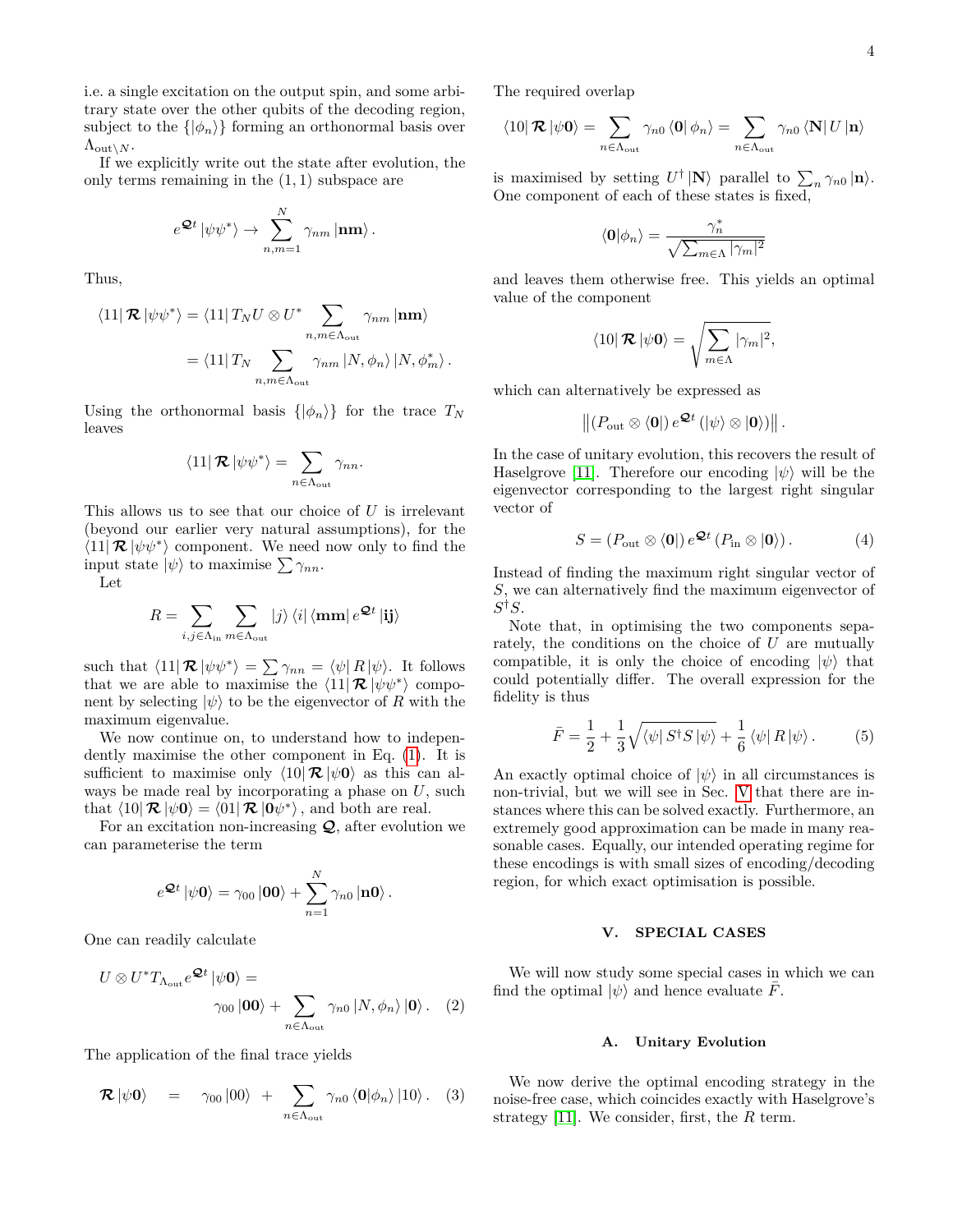i.e. a single excitation on the output spin, and some arbitrary state over the other qubits of the decoding region, subject to the  $\{|\phi_n\rangle\}$  forming an orthonormal basis over  $\Lambda_{\text{out}\setminus N}$ .

If we explicitly write out the state after evolution, the only terms remaining in the (1*,* 1) subspace are

$$
e^{\mathcal{Q}t} \left| \psi \psi^* \right> \rightarrow \sum_{n,m=1}^N \gamma_{nm} \left| \mathbf{nm} \right>.
$$

Thus,

$$
\langle 11|\mathcal{R}|\psi\psi^*\rangle = \langle 11|\,T_N U \otimes U^* \sum_{n,m \in \Lambda_{\text{out}}} \gamma_{nm}|\mathbf{nm}\rangle
$$

$$
= \langle 11|\,T_N \sum_{n,m \in \Lambda_{\text{out}}} \gamma_{nm} |N,\phi_n\rangle \,|N,\phi_m^*\rangle \,.
$$

Using the orthonormal basis  $\{|\phi_n\rangle\}$  for the trace  $T_N$ leaves

$$
\langle 11|\,\mathcal{R}\,|\psi\psi^*\rangle = \sum_{n\in\Lambda_{\text{out}}}\gamma_{nn}.
$$

This allows us to see that our choice of *U* is irrelevant (beyond our earlier very natural assumptions), for the  $\langle 11 | \mathcal{R} | \psi \psi^* \rangle$  component. We need now only to find the input state  $|\psi\rangle$  to maximise  $\sum \gamma_{nn}$ .

Let

$$
R = \sum_{i,j \in \Lambda_{\text{in}}} \sum_{m \in \Lambda_{\text{out}}} |j\rangle \langle i| \langle \mathbf{mm} | e^{\mathcal{Q}t} | \mathbf{ij} \rangle
$$

such that  $\langle 11 | \mathcal{R} | \psi \psi^* \rangle = \sum \gamma_{nn} = \langle \psi | R | \psi \rangle$ . It follows that we are able to maximise the  $\langle 11 | \mathcal{R} | \psi \psi^* \rangle$  component by selecting  $|\psi\rangle$  to be the eigenvector of *R* with the maximum eigenvalue.

We now continue on, to understand how to independently maximise the other component in Eq. [\(1\)](#page-2-2). It is sufficient to maximise only  $\langle 10 | \mathcal{R} | \psi \mathbf{0} \rangle$  as this can always be made real by incorporating a phase on *U*, such that  $\langle 10 | \mathcal{R} | \psi \mathbf{0} \rangle = \langle 01 | \mathcal{R} | 0 \psi^* \rangle$ , and both are real.

For an excitation non-increasing  $Q$ , after evolution we can parameterise the term

$$
e^{\mathcal{Q}t} \left| \psi \mathbf{0} \right\rangle = \gamma_{00} \left| \mathbf{00} \right\rangle + \sum_{n=1}^{N} \gamma_{n0} \left| \mathbf{n0} \right\rangle.
$$

One can readily calculate

$$
U \otimes U^* T_{\Lambda_{\text{out}}} e^{\mathcal{Q}t} |\psi \mathbf{0}\rangle =
$$
  
 
$$
\gamma_{00} |\mathbf{00}\rangle + \sum_{n \in \Lambda_{\text{out}}} \gamma_{n0} |N, \phi_n\rangle |\mathbf{0}\rangle. \quad (2)
$$

The application of the final trace yields

$$
\mathcal{R} |\psi \mathbf{0}\rangle = \gamma_{00} |00\rangle + \sum_{n \in \Lambda_{\text{out}}} \gamma_{n0} \langle \mathbf{0} |\phi_n \rangle |10\rangle. \quad (3)
$$

The required overlap

$$
\left\langle 10 \right| \mathcal{R} \left| \psi \mathbf{0} \right\rangle = \sum_{n \in \Lambda_{\text{out}}} \gamma_{n0} \left\langle 0 \right| \phi_n \right\rangle = \sum_{n \in \Lambda_{\text{out}}} \gamma_{n0} \left\langle \mathbf{N} \right| U \left| \mathbf{n} \right\rangle
$$

is maximised by setting  $U^{\dagger} | \mathbf{N} \rangle$  parallel to  $\sum_{n} \gamma_{n0} | \mathbf{n} \rangle$ . One component of each of these states is fixed,

$$
\langle \mathbf{0} | \phi_n \rangle = \frac{\gamma_n^*}{\sqrt{\sum_{m \in \Lambda} |\gamma_m|^2}}
$$

and leaves them otherwise free. This yields an optimal value of the component

$$
\left\langle 10\right| \mathcal{R} \left| \psi \mathbf{0} \right\rangle = \sqrt{\sum_{m \in \Lambda} |\gamma_m|^2},
$$

which can alternatively be expressed as

$$
\left\| \left(P_{\text{out}}\otimes \langle \mathbf{0}\right| \right) e^{\mathbf{Q}t} \left( |\psi\rangle \otimes |\mathbf{0}\rangle \right) \right\|.
$$

In the case of unitary evolution, this recovers the result of Haselgrove [\[11\]](#page-8-16). Therefore our encoding  $|\psi\rangle$  will be the eigenvector corresponding to the largest right singular vector of

<span id="page-3-1"></span>
$$
S = (P_{\text{out}} \otimes \langle \mathbf{0} |) e^{\mathbf{Q}t} (P_{\text{in}} \otimes | \mathbf{0} \rangle). \tag{4}
$$

Instead of finding the maximum right singular vector of *S*, we can alternatively find the maximum eigenvector of  $S^{\dagger}S.$ 

Note that, in optimising the two components separately, the conditions on the choice of *U* are mutually compatible, it is only the choice of encoding  $|\psi\rangle$  that could potentially differ. The overall expression for the fidelity is thus

<span id="page-3-2"></span>
$$
\bar{F} = \frac{1}{2} + \frac{1}{3} \sqrt{\langle \psi | S^{\dagger} S | \psi \rangle} + \frac{1}{6} \langle \psi | R | \psi \rangle.
$$
 (5)

An exactly optimal choice of  $|\psi\rangle$  in all circumstances is non-trivial, but we will see in Sec. [V](#page-3-0) that there are instances where this can be solved exactly. Furthermore, an extremely good approximation can be made in many reasonable cases. Equally, our intended operating regime for these encodings is with small sizes of encoding/decoding region, for which exact optimisation is possible.

### <span id="page-3-0"></span>**V. SPECIAL CASES**

We will now study some special cases in which we can find the optimal  $|\psi\rangle$  and hence evaluate  $\bar{F}$ .

#### **A. Unitary Evolution**

We now derive the optimal encoding strategy in the noise-free case, which coincides exactly with Haselgrove's strategy [\[11\]](#page-8-16). We consider, first, the *R* term.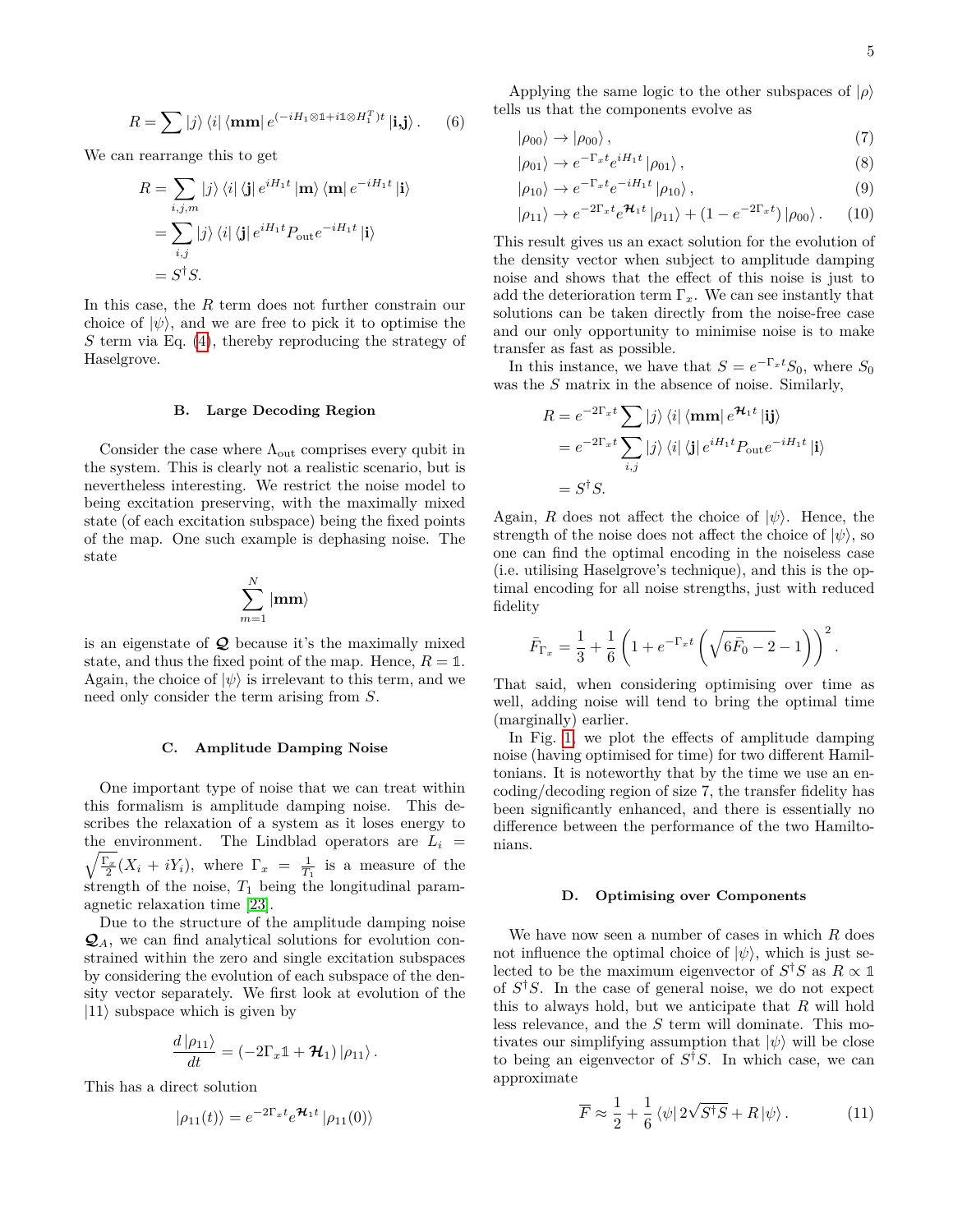$$
R = \sum |j\rangle \langle i| \langle \mathbf{mm} | e^{(-iH_1 \otimes \mathbb{1} + i\mathbb{1} \otimes H_1^T)t} | \mathbf{i}, \mathbf{j} \rangle. \qquad (6)
$$

We can rearrange this to get

$$
R = \sum_{i,j,m} |j\rangle \langle i| \langle j| e^{iH_1t} | \mathbf{m} \rangle \langle \mathbf{m} | e^{-iH_1t} | i \rangle
$$
  
= 
$$
\sum_{i,j} |j\rangle \langle i| \langle j| e^{iH_1t} P_{\text{out}} e^{-iH_1t} | i \rangle
$$
  
= 
$$
S^{\dagger} S.
$$

In this case, the *R* term does not further constrain our choice of  $|\psi\rangle$ , and we are free to pick it to optimise the *S* term via Eq. [\(4\)](#page-3-1), thereby reproducing the strategy of Haselgrove.

#### **B. Large Decoding Region**

Consider the case where  $\Lambda_{\text{out}}$  comprises every qubit in the system. This is clearly not a realistic scenario, but is nevertheless interesting. We restrict the noise model to being excitation preserving, with the maximally mixed state (of each excitation subspace) being the fixed points of the map. One such example is dephasing noise. The state

$$
\sum_{m=1}^{N}|\mathbf{mm}\rangle
$$

is an eigenstate of  $\mathcal Q$  because it's the maximally mixed state, and thus the fixed point of the map. Hence,  $R = 1$ . Again, the choice of  $|\psi\rangle$  is irrelevant to this term, and we need only consider the term arising from *S*.

#### <span id="page-4-0"></span>**C. Amplitude Damping Noise**

One important type of noise that we can treat within this formalism is amplitude damping noise. This describes the relaxation of a system as it loses energy to the environment. The Lindblad operators are  $L_i$  =  $\sqrt{\frac{\Gamma_x}{2}}(X_i + iY_i)$ , where  $\Gamma_x = \frac{1}{T_1}$  is a measure of the strength of the noise,  $T_1$  being the longitudinal paramagnetic relaxation time [\[23\]](#page-8-19).

Due to the structure of the amplitude damping noise Q*A*, we can find analytical solutions for evolution constrained within the zero and single excitation subspaces by considering the evolution of each subspace of the density vector separately. We first look at evolution of the  $|11\rangle$  subspace which is given by

$$
\frac{d |\rho_{11}\rangle}{dt} = \left(-2\Gamma_x \mathbb{1} + \mathcal{H}_1\right) |\rho_{11}\rangle.
$$

This has a direct solution

$$
|\rho_{11}(t)\rangle = e^{-2\Gamma_x t} e^{\mathcal{H}_1 t} |\rho_{11}(0)\rangle
$$

Applying the same logic to the other subspaces of  $|\rho\rangle$ tells us that the components evolve as

$$
|\rho_{00}\rangle \to |\rho_{00}\rangle \,,\tag{7}
$$

$$
|\rho_{01}\rangle \to e^{-\Gamma_x t} e^{iH_1 t} |\rho_{01}\rangle , \qquad (8)
$$

$$
|\rho_{10}\rangle \to e^{-\Gamma_x t} e^{-iH_1 t} |\rho_{10}\rangle , \qquad (9)
$$

$$
|\rho_{11}\rangle \rightarrow e^{-2\Gamma_x t} e^{\mathcal{H}_1 t} |\rho_{11}\rangle + (1 - e^{-2\Gamma_x t}) |\rho_{00}\rangle. \tag{10}
$$

This result gives us an exact solution for the evolution of the density vector when subject to amplitude damping noise and shows that the effect of this noise is just to add the deterioration term  $\Gamma_x$ . We can see instantly that solutions can be taken directly from the noise-free case and our only opportunity to minimise noise is to make transfer as fast as possible.

In this instance, we have that  $S = e^{-\Gamma_x t} S_0$ , where  $S_0$ was the *S* matrix in the absence of noise. Similarly,

$$
R = e^{-2\Gamma_x t} \sum |j\rangle \langle i| \langle \mathbf{mm} | e^{\mathcal{H}_1 t} | \mathbf{ij} \rangle
$$
  
=  $e^{-2\Gamma_x t} \sum_{i,j} |j\rangle \langle i| \langle \mathbf{j} | e^{iH_1 t} P_{\text{out}} e^{-iH_1 t} | \mathbf{i} \rangle$   
=  $S^{\dagger} S$ .

Again, *R* does not affect the choice of  $|\psi\rangle$ . Hence, the strength of the noise does not affect the choice of  $|\psi\rangle$ , so one can find the optimal encoding in the noiseless case (i.e. utilising Haselgrove's technique), and this is the optimal encoding for all noise strengths, just with reduced fidelity

$$
\bar{F}_{\Gamma_x} = \frac{1}{3} + \frac{1}{6} \left( 1 + e^{-\Gamma_x t} \left( \sqrt{6\bar{F}_0 - 2} - 1 \right) \right)^2.
$$

That said, when considering optimising over time as well, adding noise will tend to bring the optimal time (marginally) earlier.

In Fig. [1,](#page-5-0) we plot the effects of amplitude damping noise (having optimised for time) for two different Hamiltonians. It is noteworthy that by the time we use an encoding/decoding region of size 7, the transfer fidelity has been significantly enhanced, and there is essentially no difference between the performance of the two Hamiltonians.

### **D. Optimising over Components**

We have now seen a number of cases in which *R* does not influence the optimal choice of  $|\psi\rangle$ , which is just selected to be the maximum eigenvector of  $S^{\dagger}S$  as  $R \propto \mathbb{1}$ of *S* †*S*. In the case of general noise, we do not expect this to always hold, but we anticipate that *R* will hold less relevance, and the *S* term will dominate. This motivates our simplifying assumption that  $|\psi\rangle$  will be close to being an eigenvector of *S* †*S*. In which case, we can approximate

<span id="page-4-1"></span>
$$
\overline{F} \approx \frac{1}{2} + \frac{1}{6} \left\langle \psi \right| 2\sqrt{S^{\dagger}S} + R \left| \psi \right\rangle. \tag{11}
$$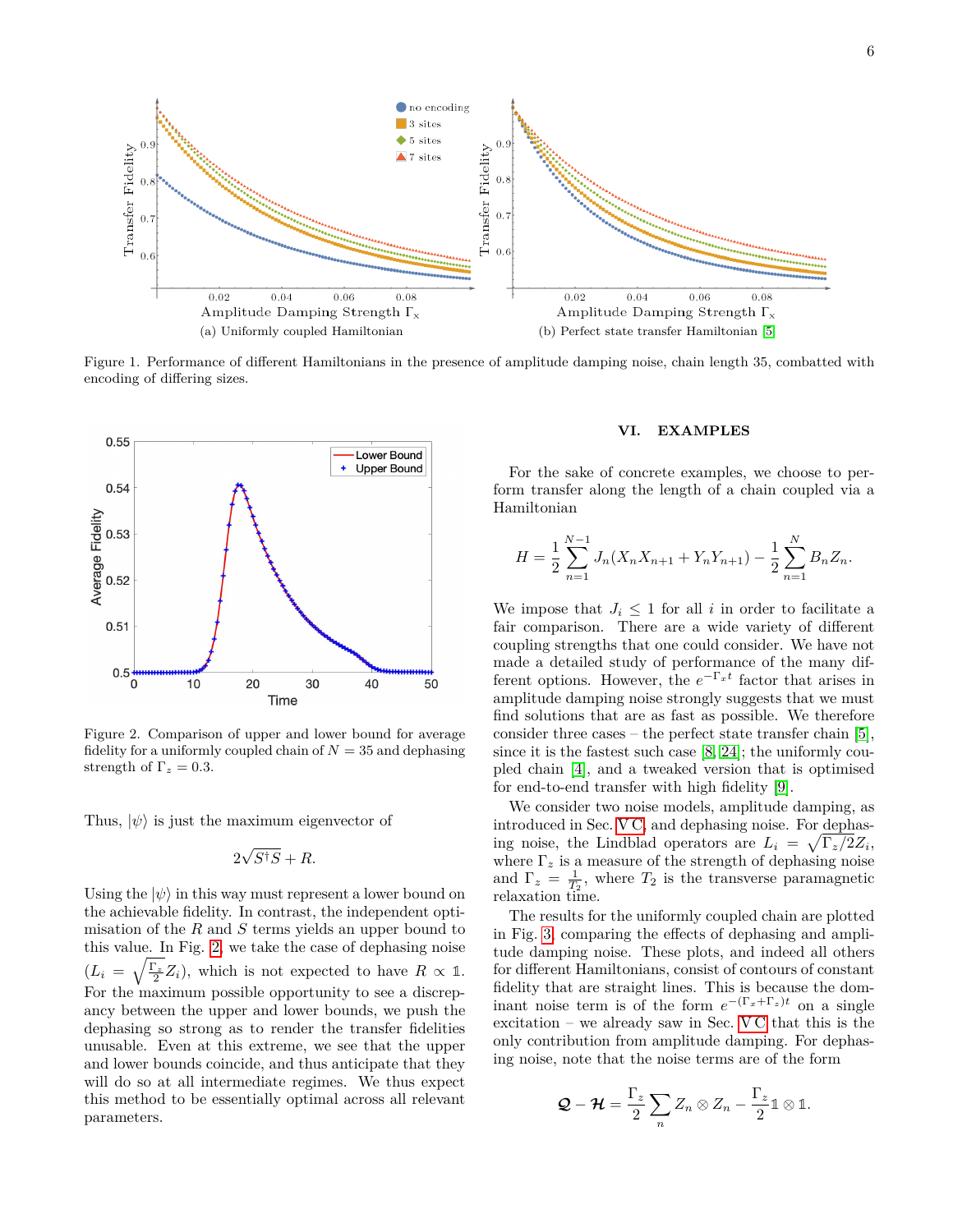

<span id="page-5-0"></span>Figure 1. Performance of different Hamiltonians in the presence of amplitude damping noise, chain length 35, combatted with encoding of differing sizes.



<span id="page-5-1"></span>Figure 2. Comparison of upper and lower bound for average fidelity for a uniformly coupled chain of  $N = 35$  and dephasing strength of  $\Gamma_z = 0.3$ .

Thus,  $|\psi\rangle$  is just the maximum eigenvector of

$$
2\sqrt{S^{\dagger}S} + R.
$$

Using the  $|\psi\rangle$  in this way must represent a lower bound on the achievable fidelity. In contrast, the independent optimisation of the *R* and *S* terms yields an upper bound to this value. In Fig. [2,](#page-5-1) we take the case of dephasing noise  $(L_i = \sqrt{\frac{\Gamma_z}{2}} Z_i)$ , which is not expected to have  $R \propto \mathbb{1}$ . For the maximum possible opportunity to see a discrepancy between the upper and lower bounds, we push the dephasing so strong as to render the transfer fidelities unusable. Even at this extreme, we see that the upper and lower bounds coincide, and thus anticipate that they will do so at all intermediate regimes. We thus expect this method to be essentially optimal across all relevant parameters.

#### **VI. EXAMPLES**

For the sake of concrete examples, we choose to perform transfer along the length of a chain coupled via a Hamiltonian

$$
H = \frac{1}{2} \sum_{n=1}^{N-1} J_n(X_n X_{n+1} + Y_n Y_{n+1}) - \frac{1}{2} \sum_{n=1}^{N} B_n Z_n.
$$

We impose that  $J_i \leq 1$  for all *i* in order to facilitate a fair comparison. There are a wide variety of different coupling strengths that one could consider. We have not made a detailed study of performance of the many different options. However, the  $e^{-\Gamma_x t}$  factor that arises in amplitude damping noise strongly suggests that we must find solutions that are as fast as possible. We therefore consider three cases – the perfect state transfer chain [\[5\]](#page-8-6), since it is the fastest such case [\[8,](#page-8-5) [24\]](#page-8-20); the uniformly coupled chain [\[4\]](#page-8-3), and a tweaked version that is optimised for end-to-end transfer with high fidelity [\[9\]](#page-8-7).

We consider two noise models, amplitude damping, as introduced in Sec. [V C,](#page-4-0) and dephasing noise. For dephasing noise, the Lindblad operators are  $L_i = \sqrt{\Gamma_z/2}Z_i$ , where  $\Gamma_z$  is a measure of the strength of dephasing noise and  $\Gamma_z = \frac{1}{T_2}$ , where  $T_2$  is the transverse paramagnetic relaxation time.

The results for the uniformly coupled chain are plotted in Fig. [3,](#page-6-1) comparing the effects of dephasing and amplitude damping noise. These plots, and indeed all others for different Hamiltonians, consist of contours of constant fidelity that are straight lines. This is because the dominant noise term is of the form  $e^{-(\Gamma_x + \Gamma_z)t}$  on a single excitation – we already saw in Sec.  $VC$  that this is the only contribution from amplitude damping. For dephasing noise, note that the noise terms are of the form

$$
\mathcal{Q}-\mathcal{H}=\frac{\Gamma_z}{2}\sum_n Z_n\otimes Z_n-\frac{\Gamma_z}{2}\mathbb{1}\otimes\mathbb{1}.
$$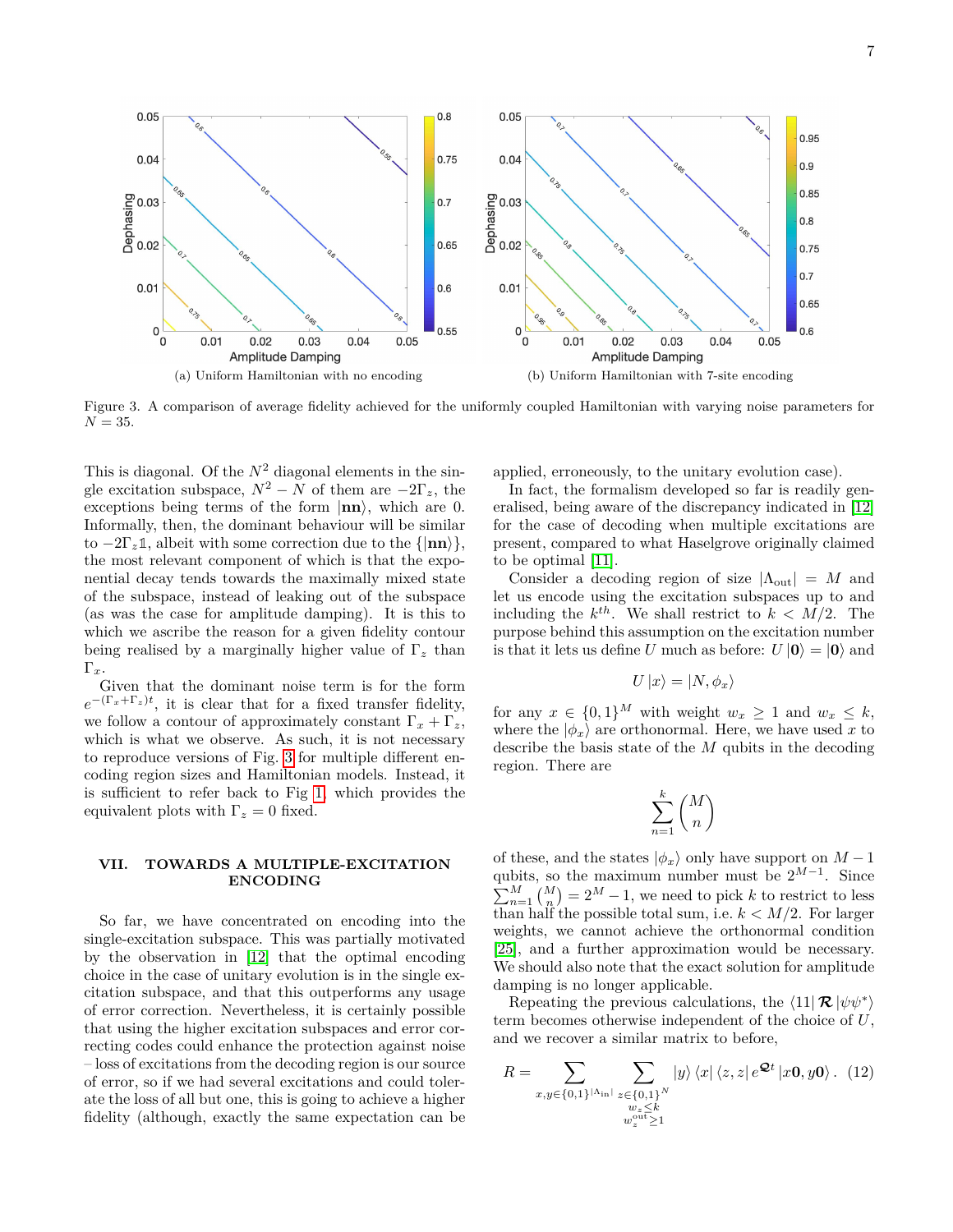

<span id="page-6-1"></span>(a) Uniform Hamiltonian with no encoding (b) Uniform Hamiltonian with 7-site encoding

Figure 3. A comparison of average fidelity achieved for the uniformly coupled Hamiltonian with varying noise parameters for

This is diagonal. Of the  $N^2$  diagonal elements in the single excitation subspace,  $N^2 - N$  of them are  $-2\Gamma_z$ , the exceptions being terms of the form  $|\mathbf{nn}\rangle$ , which are 0. Informally, then, the dominant behaviour will be similar to  $-2\Gamma_z \mathbb{1}$ , albeit with some correction due to the  $\{|\mathbf{nn}\rangle\}$ , the most relevant component of which is that the exponential decay tends towards the maximally mixed state of the subspace, instead of leaking out of the subspace (as was the case for amplitude damping). It is this to which we ascribe the reason for a given fidelity contour being realised by a marginally higher value of Γ*<sup>z</sup>* than Γ*x*.

 $N = 35$ .

Given that the dominant noise term is for the form  $e^{-(\Gamma_x+\Gamma_z)t}$ , it is clear that for a fixed transfer fidelity, we follow a contour of approximately constant  $\Gamma_x + \Gamma_z$ , which is what we observe. As such, it is not necessary to reproduce versions of Fig. [3](#page-6-1) for multiple different encoding region sizes and Hamiltonian models. Instead, it is sufficient to refer back to Fig [1,](#page-5-0) which provides the equivalent plots with  $\Gamma_z = 0$  fixed.

### <span id="page-6-0"></span>**VII. TOWARDS A MULTIPLE-EXCITATION ENCODING**

So far, we have concentrated on encoding into the single-excitation subspace. This was partially motivated by the observation in [\[12\]](#page-8-9) that the optimal encoding choice in the case of unitary evolution is in the single excitation subspace, and that this outperforms any usage of error correction. Nevertheless, it is certainly possible that using the higher excitation subspaces and error correcting codes could enhance the protection against noise – loss of excitations from the decoding region is our source of error, so if we had several excitations and could tolerate the loss of all but one, this is going to achieve a higher fidelity (although, exactly the same expectation can be applied, erroneously, to the unitary evolution case).

In fact, the formalism developed so far is readily generalised, being aware of the discrepancy indicated in [\[12\]](#page-8-9) for the case of decoding when multiple excitations are present, compared to what Haselgrove originally claimed to be optimal [\[11\]](#page-8-16).

Consider a decoding region of size  $|\Lambda_{\text{out}}| = M$  and let us encode using the excitation subspaces up to and including the  $k^{th}$ . We shall restrict to  $k < M/2$ . The purpose behind this assumption on the excitation number is that it lets us define *U* much as before:  $U |0\rangle = |0\rangle$  and

$$
U\ket{x}=\ket{N,\phi_x}
$$

for any  $x \in \{0,1\}^M$  with weight  $w_x \ge 1$  and  $w_x \le k$ , where the  $|\phi_x\rangle$  are orthonormal. Here, we have used x to describe the basis state of the *M* qubits in the decoding region. There are

$$
\sum_{n=1}^{k} \binom{M}{n}
$$

of these, and the states  $|\phi_x\rangle$  only have support on  $M-1$ qubits, so the maximum number must be  $2^{M-1}$ . Since  $\sum_{n=1}^{M} {M \choose n} = 2^{M} - 1$ , we need to pick *k* to restrict to less than half the possible total sum, i.e.  $k < M/2$ . For larger weights, we cannot achieve the orthonormal condition [\[25\]](#page-8-21), and a further approximation would be necessary. We should also note that the exact solution for amplitude damping is no longer applicable.

Repeating the previous calculations, the  $\langle 11 | \mathcal{R} | \psi \psi^* \rangle$ term becomes otherwise independent of the choice of *U*, and we recover a similar matrix to before,

<span id="page-6-2"></span>
$$
R = \sum_{x,y \in \{0,1\}^{|\Lambda_{\rm in}|}} \sum_{\substack{z \in \{0,1\}^N \\ w_z \le k \\ w_z^{out} \ge 1}} |y\rangle \langle x| \langle z, z| e^{\mathcal{Q}t} |x\mathbf{0}, y\mathbf{0}\rangle. \tag{12}
$$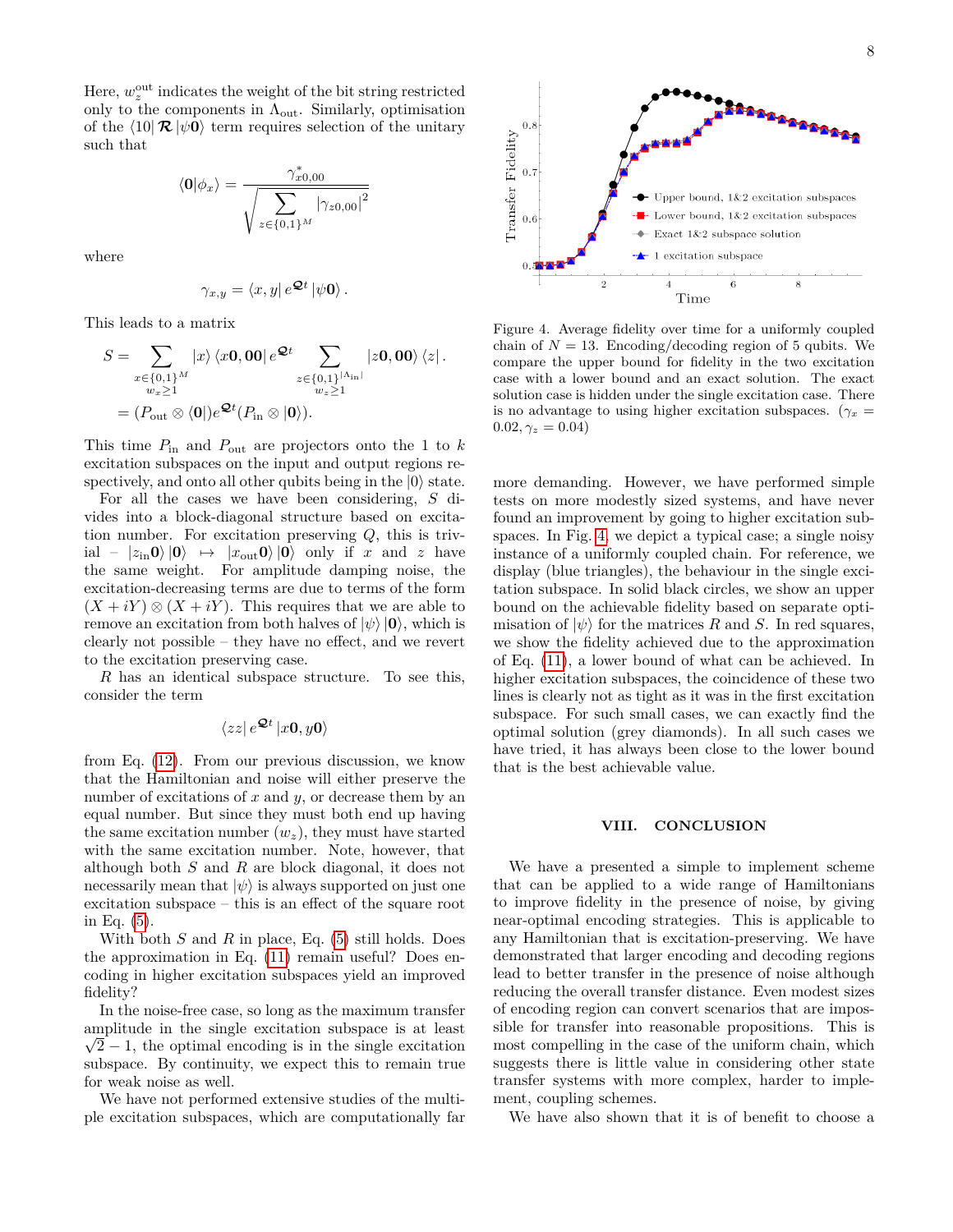Here,  $w_z^{\text{out}}$  indicates the weight of the bit string restricted only to the components in  $\Lambda_{\text{out}}$ . Similarly, optimisation of the  $\langle 10| \mathcal{R} |\psi 0 \rangle$  term requires selection of the unitary such that

$$
\langle \mathbf{0} | \phi_x \rangle = \frac{\gamma_{x0,00}^*}{\sqrt{\sum_{z \in \{0,1\}^M} |\gamma_{z0,00}|^2}}
$$

where

$$
\gamma_{x,y} = \langle x,y|e^{\mathcal{Q}t}|\psi\mathbf{0}\rangle.
$$

This leads to a matrix

$$
S = \sum_{\substack{x \in \{0,1\}^M \\ w_x \ge 1}} |x\rangle \langle x0,00| e^{\mathcal{Q}t} \sum_{\substack{z \in \{0,1\}^{|\Lambda_{\rm in}|} \\ w_z \ge 1}} |z0,00\rangle \langle z|.
$$
  
=  $(P_{\rm out} \otimes \langle 0|) e^{\mathcal{Q}t} (P_{\rm in} \otimes |0\rangle).$ 

This time  $P_{\text{in}}$  and  $P_{\text{out}}$  are projectors onto the 1 to  $k$ excitation subspaces on the input and output regions respectively, and onto all other qubits being in the  $|0\rangle$  state.

For all the cases we have been considering, *S* divides into a block-diagonal structure based on excitation number. For excitation preserving *Q*, this is triv $i\text{al} - |z_{\text{in}}0\rangle |0\rangle \rightarrow |x_{\text{out}}0\rangle |0\rangle$  only if *x* and *z* have the same weight. For amplitude damping noise, the excitation-decreasing terms are due to terms of the form  $(X + iY) \otimes (X + iY)$ . This requires that we are able to remove an excitation from both halves of  $|\psi\rangle$   $|\mathbf{0}\rangle$ , which is clearly not possible – they have no effect, and we revert to the excitation preserving case.

*R* has an identical subspace structure. To see this, consider the term

$$
\langle zz|\,e^{\mathcal{Q}t}\,|x\mathbf{0},y\mathbf{0}\rangle
$$

from Eq. [\(12\)](#page-6-2). From our previous discussion, we know that the Hamiltonian and noise will either preserve the number of excitations of *x* and *y*, or decrease them by an equal number. But since they must both end up having the same excitation number  $(w_z)$ , they must have started with the same excitation number. Note, however, that although both *S* and *R* are block diagonal, it does not necessarily mean that  $|\psi\rangle$  is always supported on just one excitation subspace – this is an effect of the square root in Eq. [\(5\)](#page-3-2).

With both *S* and *R* in place, Eq. [\(5\)](#page-3-2) still holds. Does the approximation in Eq. [\(11\)](#page-4-1) remain useful? Does encoding in higher excitation subspaces yield an improved fidelity?

In the noise-free case, so long as the maximum transfer amplitude in the single excitation subspace is at least √  $\sqrt{2} - 1$ , the optimal encoding is in the single excitation subspace. By continuity, we expect this to remain true for weak noise as well.

We have not performed extensive studies of the multiple excitation subspaces, which are computationally far



<span id="page-7-0"></span>Figure 4. Average fidelity over time for a uniformly coupled chain of  $N = 13$ . Encoding/decoding region of 5 qubits. We compare the upper bound for fidelity in the two excitation case with a lower bound and an exact solution. The exact solution case is hidden under the single excitation case. There is no advantage to using higher excitation subspaces. ( $\gamma_x$  =  $0.02, \gamma_z = 0.04$ 

more demanding. However, we have performed simple tests on more modestly sized systems, and have never found an improvement by going to higher excitation subspaces. In Fig. [4,](#page-7-0) we depict a typical case; a single noisy instance of a uniformly coupled chain. For reference, we display (blue triangles), the behaviour in the single excitation subspace. In solid black circles, we show an upper bound on the achievable fidelity based on separate optimisation of  $|\psi\rangle$  for the matrices *R* and *S*. In red squares, we show the fidelity achieved due to the approximation of Eq. [\(11\)](#page-4-1), a lower bound of what can be achieved. In higher excitation subspaces, the coincidence of these two lines is clearly not as tight as it was in the first excitation subspace. For such small cases, we can exactly find the optimal solution (grey diamonds). In all such cases we have tried, it has always been close to the lower bound that is the best achievable value.

### **VIII. CONCLUSION**

We have a presented a simple to implement scheme that can be applied to a wide range of Hamiltonians to improve fidelity in the presence of noise, by giving near-optimal encoding strategies. This is applicable to any Hamiltonian that is excitation-preserving. We have demonstrated that larger encoding and decoding regions lead to better transfer in the presence of noise although reducing the overall transfer distance. Even modest sizes of encoding region can convert scenarios that are impossible for transfer into reasonable propositions. This is most compelling in the case of the uniform chain, which suggests there is little value in considering other state transfer systems with more complex, harder to implement, coupling schemes.

We have also shown that it is of benefit to choose a